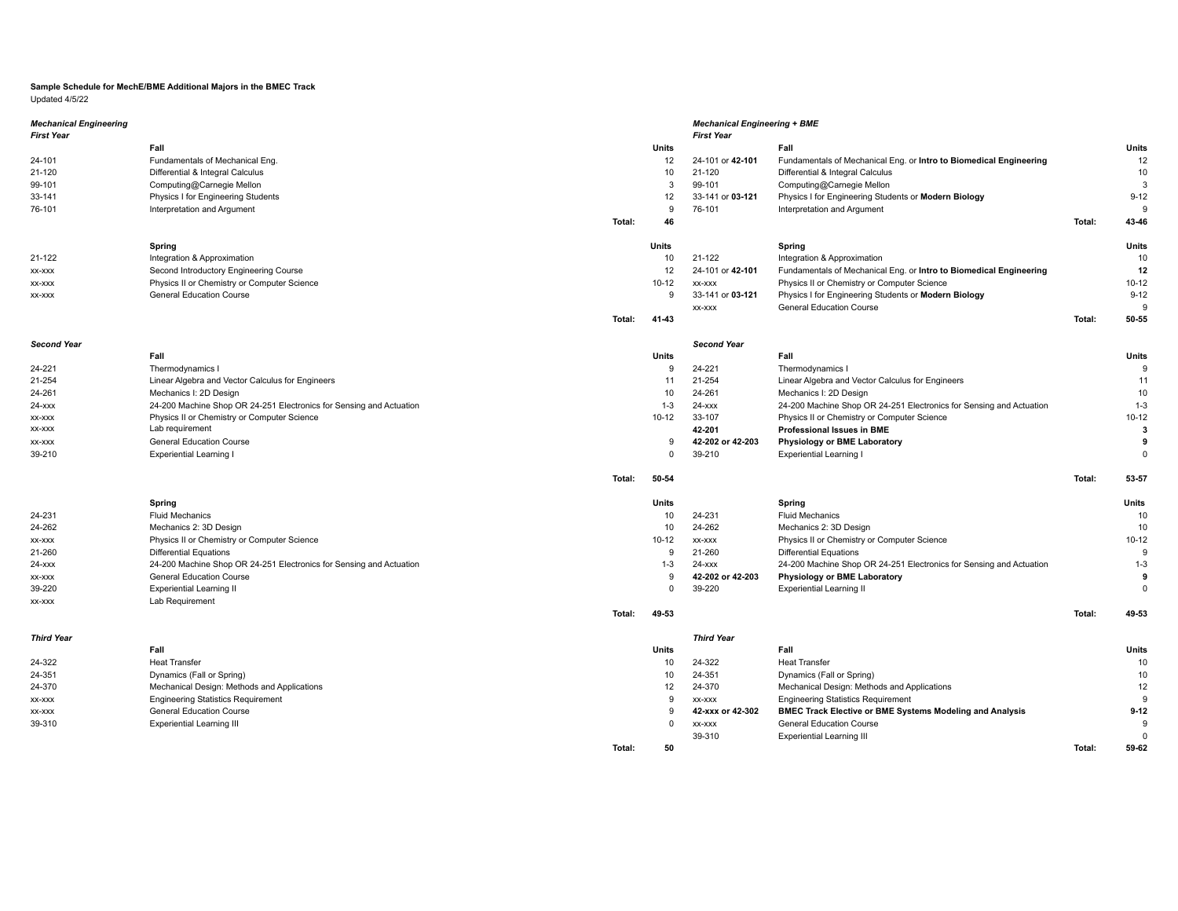## **Sample Schedule for MechE/BME Additional Majors in the BMEC Track** Updated 4/5/22

| <b>Mechanical Engineering</b> |                                                                     |        |              | <b>Mechanical Engineering + BME</b> |                                                                     |        |                         |
|-------------------------------|---------------------------------------------------------------------|--------|--------------|-------------------------------------|---------------------------------------------------------------------|--------|-------------------------|
| <b>First Year</b>             |                                                                     |        |              | <b>First Year</b>                   |                                                                     |        |                         |
|                               | Fall                                                                |        | <b>Units</b> |                                     | Fall                                                                |        | <b>Units</b><br>12      |
| 24-101                        | Fundamentals of Mechanical Eng.                                     |        | 12<br>10     | 24-101 or 42-101<br>21-120          | Fundamentals of Mechanical Eng. or Intro to Biomedical Engineering  |        | 10                      |
| 21-120                        | Differential & Integral Calculus                                    |        | 3            | 99-101                              | Differential & Integral Calculus                                    |        | $\overline{3}$          |
| 99-101                        | Computing@Carnegie Mellon                                           |        |              |                                     | Computing@Carnegie Mellon                                           |        |                         |
| 33-141                        | Physics I for Engineering Students                                  |        | 12           | 33-141 or 03-121                    | Physics I for Engineering Students or Modern Biology                |        | $9 - 12$<br>9           |
| 76-101                        | Interpretation and Argument                                         |        | 9            | 76-101                              | Interpretation and Argument                                         |        |                         |
|                               |                                                                     | Total: | 46           |                                     |                                                                     | Total: | 43-46                   |
|                               | Spring                                                              |        | Units        |                                     | Spring                                                              |        | Units                   |
| 21-122                        | Integration & Approximation                                         |        | 10           | 21-122                              | Integration & Approximation                                         |        | 10                      |
| XX-XXX                        | Second Introductory Engineering Course                              |        | 12           | 24-101 or 42-101                    | Fundamentals of Mechanical Eng. or Intro to Biomedical Engineering  |        | 12                      |
| XX-XXX                        | Physics II or Chemistry or Computer Science                         |        | $10 - 12$    | XX-XXX                              | Physics II or Chemistry or Computer Science                         |        | $10 - 12$               |
| XX-XXX                        | <b>General Education Course</b>                                     |        | 9            | 33-141 or 03-121                    | Physics I for Engineering Students or Modern Biology                |        | $9 - 12$                |
|                               |                                                                     |        |              | XX-XXX                              | <b>General Education Course</b>                                     |        | -9                      |
|                               |                                                                     | Total: | 41-43        |                                     |                                                                     | Total: | 50-55                   |
|                               |                                                                     |        |              |                                     |                                                                     |        |                         |
| <b>Second Year</b>            |                                                                     |        |              | <b>Second Year</b>                  |                                                                     |        |                         |
|                               | Fall                                                                |        | Units        |                                     | Fall                                                                |        | <b>Units</b>            |
| 24-221                        | Thermodynamics I                                                    |        | 9            | 24-221                              | Thermodynamics I                                                    |        | 9                       |
| 21-254                        | Linear Algebra and Vector Calculus for Engineers                    |        | 11           | 21-254                              | Linear Algebra and Vector Calculus for Engineers                    |        | 11                      |
| 24-261                        | Mechanics I: 2D Design                                              |        | 10           | 24-261                              | Mechanics I: 2D Design                                              |        | 10                      |
| 24-xxx                        | 24-200 Machine Shop OR 24-251 Electronics for Sensing and Actuation |        | $1 - 3$      | $24 - xxx$                          | 24-200 Machine Shop OR 24-251 Electronics for Sensing and Actuation |        | $1 - 3$                 |
| XX-XXX                        | Physics II or Chemistry or Computer Science                         |        | $10 - 12$    | 33-107                              | Physics II or Chemistry or Computer Science                         |        | $10 - 12$               |
| XX-XXX                        | Lab requirement                                                     |        |              | 42-201                              | Professional Issues in BME                                          |        | $\overline{\mathbf{3}}$ |
| XX-XXX                        | <b>General Education Course</b>                                     |        | 9            | 42-202 or 42-203                    | Physiology or BME Laboratory                                        |        | 9                       |
| 39-210                        | <b>Experiential Learning I</b>                                      |        | $\mathbf 0$  | 39-210                              | <b>Experiential Learning I</b>                                      |        | $\Omega$                |
|                               |                                                                     | Total: | 50-54        |                                     |                                                                     | Total: | 53-57                   |
|                               | Spring                                                              |        | <b>Units</b> |                                     | Spring                                                              |        | <b>Units</b>            |
| 24-231                        | <b>Fluid Mechanics</b>                                              |        | 10           | 24-231                              | <b>Fluid Mechanics</b>                                              |        | 10                      |
| 24-262                        | Mechanics 2: 3D Design                                              |        | 10           | 24-262                              | Mechanics 2: 3D Design                                              |        | 10                      |
| XX-XXX                        | Physics II or Chemistry or Computer Science                         |        | $10 - 12$    | XX-XXX                              | Physics II or Chemistry or Computer Science                         |        | $10 - 12$               |
| 21-260                        | <b>Differential Equations</b>                                       |        | 9            | 21-260                              | <b>Differential Equations</b>                                       |        | 9                       |
| 24-xxx                        | 24-200 Machine Shop OR 24-251 Electronics for Sensing and Actuation |        | $1 - 3$      | $24 - XXX$                          | 24-200 Machine Shop OR 24-251 Electronics for Sensing and Actuation |        | $1 - 3$                 |
| XX-XXX                        | <b>General Education Course</b>                                     |        | 9            | 42-202 or 42-203                    | Physiology or BME Laboratory                                        |        | -9                      |
| 39-220                        | <b>Experiential Learning II</b>                                     |        | $\mathbf 0$  | 39-220                              | <b>Experiential Learning II</b>                                     |        | $\Omega$                |
| XX-XXX                        | Lab Requirement                                                     |        |              |                                     |                                                                     |        |                         |
|                               |                                                                     | Total: | 49-53        |                                     |                                                                     | Total: | 49-53                   |
| <b>Third Year</b>             |                                                                     |        |              | <b>Third Year</b>                   |                                                                     |        |                         |
|                               | Fall                                                                |        | Units        |                                     | Fall                                                                |        | <b>Units</b>            |
| 24-322                        | <b>Heat Transfer</b>                                                |        | 10           | 24-322                              | <b>Heat Transfer</b>                                                |        | 10                      |
| 24-351                        | Dynamics (Fall or Spring)                                           |        | 10           | 24-351                              | Dynamics (Fall or Spring)                                           |        | 10                      |
| 24-370                        | Mechanical Design: Methods and Applications                         |        | 12           | 24-370                              | Mechanical Design: Methods and Applications                         |        | 12                      |
| XX-XXX                        | <b>Engineering Statistics Requirement</b>                           |        | 9            | XX-XXX                              | <b>Engineering Statistics Requirement</b>                           |        | 9                       |
| XX-XXX                        | <b>General Education Course</b>                                     |        | 9            | 42-xxx or 42-302                    | <b>BMEC Track Elective or BME Systems Modeling and Analysis</b>     |        | $9 - 12$                |
| 39-310                        | <b>Experiential Learning III</b>                                    |        | $\mathbf 0$  | XX-XXX                              | <b>General Education Course</b>                                     |        | 9                       |
|                               |                                                                     |        |              | 39-310                              | <b>Experiential Learning III</b>                                    |        | $\Omega$                |
|                               |                                                                     | Total: | 50           |                                     |                                                                     | Total: | 59-62                   |
|                               |                                                                     |        |              |                                     |                                                                     |        |                         |